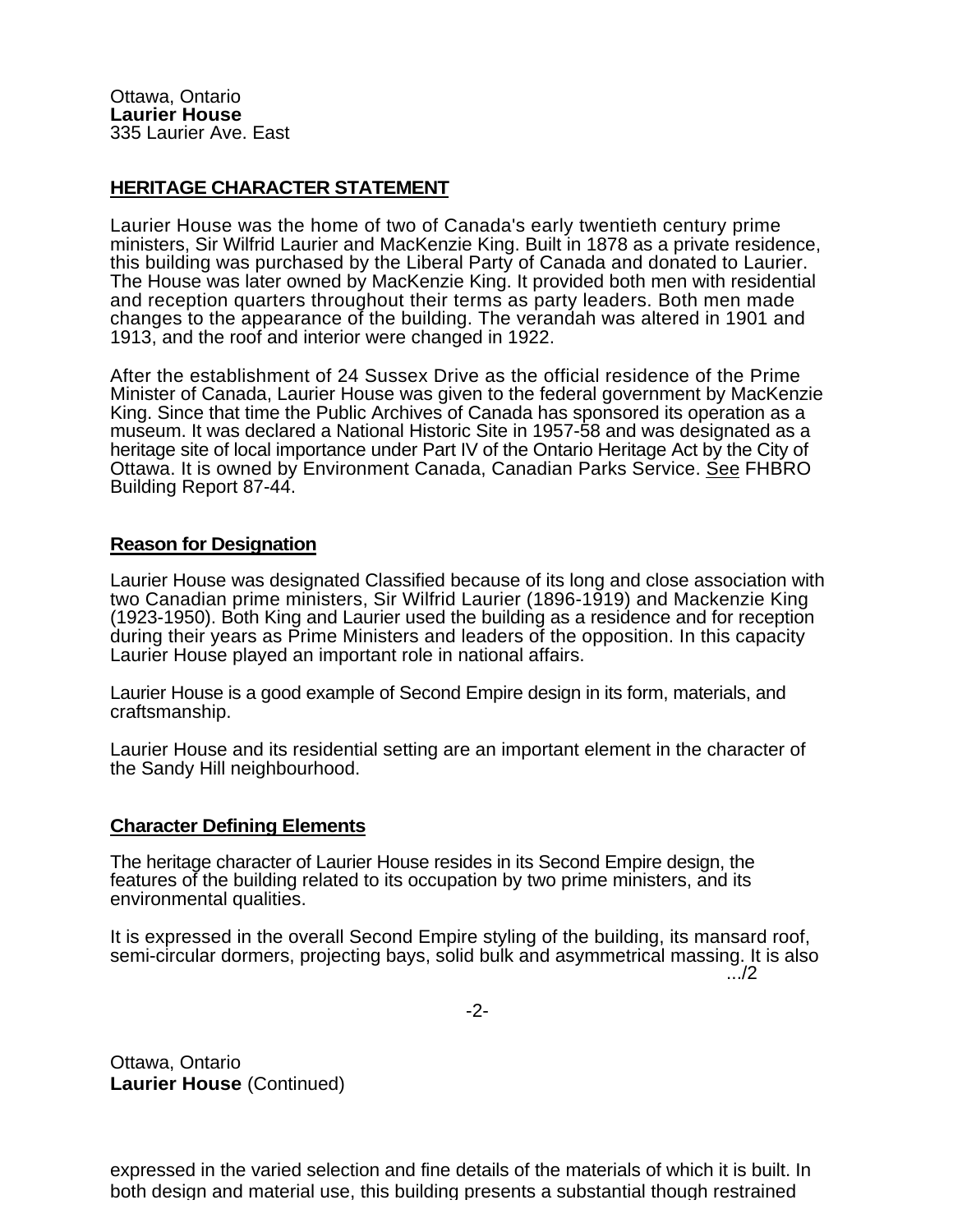## **HERITAGE CHARACTER STATEMENT**

Laurier House was the home of two of Canada's early twentieth century prime ministers, Sir Wilfrid Laurier and MacKenzie King. Built in 1878 as a private residence, this building was purchased by the Liberal Party of Canada and donated to Laurier. The House was later owned by MacKenzie King. It provided both men with residential and reception quarters throughout their terms as party leaders. Both men made changes to the appearance of the building. The verandah was altered in 1901 and 1913, and the roof and interior were changed in 1922.

After the establishment of 24 Sussex Drive as the official residence of the Prime Minister of Canada, Laurier House was given to the federal government by MacKenzie King. Since that time the Public Archives of Canada has sponsored its operation as a museum. It was declared a National Historic Site in 1957-58 and was designated as a heritage site of local importance under Part IV of the Ontario Heritage Act by the City of Ottawa. It is owned by Environment Canada, Canadian Parks Service. See FHBRO Building Report 87-44.

## **Reason for Designation**

Laurier House was designated Classified because of its long and close association with two Canadian prime ministers, Sir Wilfrid Laurier (1896-1919) and Mackenzie King (1923-1950). Both King and Laurier used the building as a residence and for reception during their years as Prime Ministers and leaders of the opposition. In this capacity Laurier House played an important role in national affairs.

Laurier House is a good example of Second Empire design in its form, materials, and craftsmanship.

Laurier House and its residential setting are an important element in the character of the Sandy Hill neighbourhood.

## **Character Defining Elements**

The heritage character of Laurier House resides in its Second Empire design, the features of the building related to its occupation by two prime ministers, and its environmental qualities.

It is expressed in the overall Second Empire styling of the building, its mansard roof, semi-circular dormers, projecting bays, solid bulk and asymmetrical massing. It is also<br>2....

-2-

Ottawa, Ontario **Laurier House** (Continued)

expressed in the varied selection and fine details of the materials of which it is built. In both design and material use, this building presents a substantial though restrained